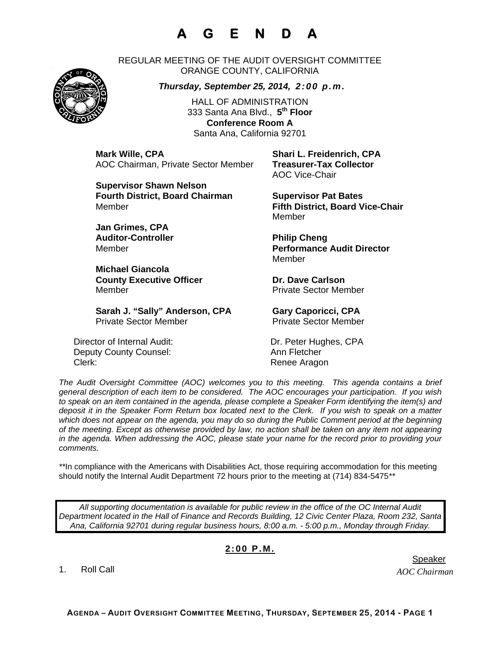## **A G E N D A**

REGULAR MEETING OF THE AUDIT OVERSIGHT COMMITTEE ORANGE COUNTY, CALIFORNIA

## *Thursday, September 25, 2014, 2:00 p.m.*

HALL OF ADMINISTRATION 333 Santa Ana Blvd., **5th Floor Conference Room A**  Santa Ana, California 92701

**Mark Wille, CPA Shari L. Freidenrich, CPA** AOC Chairman, Private Sector Member **Treasurer-Tax Collector** 

**Supervisor Shawn Nelson Fourth District, Board Chairman Supervisor Pat Bates** Member **Fifth District, Board Vice-Chair** 

**Jan Grimes, CPA**  Auditor-Controller **Philip Cheng** 

**Michael Giancola County Executive Officer Carlson County Executive Officer Acts Carlson Carlson County County County County County County County County County County County County County County County County County County County County Co** Member **Member** Private Sector Member

Sarah J. "Sally" Anderson, CPA **Gary Caporicci, CPA** Private Sector Member Private Sector Member

Director of Internal Audit: Dr. Peter Hughes, CPA Deputy County Counsel: Ann Fletcher Clerk: Clerk: Clerk: Renee Aragon

AOC Vice-Chair

Member

Member **Performance Audit Director**  Member

*The Audit Oversight Committee (AOC) welcomes you to this meeting. This agenda contains a brief general description of each item to be considered. The AOC encourages your participation. If you wish to speak on an item contained in the agenda, please complete a Speaker Form identifying the item(s) and deposit it in the Speaker Form Return box located next to the Clerk. If you wish to speak on a matter which does not appear on the agenda, you may do so during the Public Comment period at the beginning of the meeting. Except as otherwise provided by law, no action shall be taken on any item not appearing in the agenda. When addressing the AOC, please state your name for the record prior to providing your comments.* 

*\*\**In compliance with the Americans with Disabilities Act, those requiring accommodation for this meeting should notify the Internal Audit Department 72 hours prior to the meeting at (714) 834-5475*\*\** 

*All supporting documentation is available for public review in the office of the OC Internal Audit Department located in the Hall of Finance and Records Building, 12 Civic Center Plaza, Room 232, Santa Ana, California 92701 during regular business hours, 8:00 a.m. - 5:00 p.m., Monday through Friday.* 

## **2:00 P.M.**

1. Roll Call

*AOC Chairman*  er in de staat de staat de bestiet in de staat de staat de staat de Speaker en de Speaker in de Speaker en de